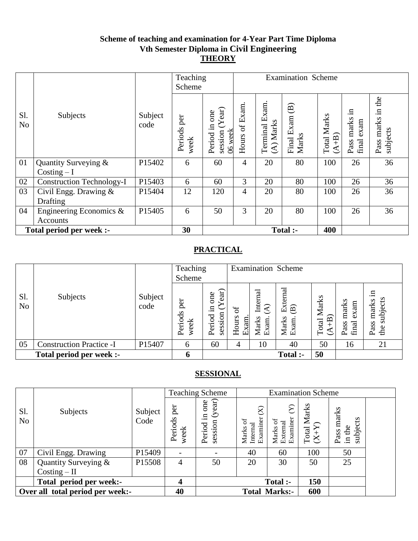#### **Scheme of teaching and examination for 4-Year Part Time Diploma Vth Semester Diploma in Civil Engineering THEORY**

|                       |                                  |                 |                     | Teaching<br>Scheme                               | <b>Examination Scheme</b> |                                |                                               |                               |                                      |                                        |
|-----------------------|----------------------------------|-----------------|---------------------|--------------------------------------------------|---------------------------|--------------------------------|-----------------------------------------------|-------------------------------|--------------------------------------|----------------------------------------|
| Sl.<br>N <sub>o</sub> | Subjects                         | Subject<br>code | Periods per<br>week | (Year)<br>one<br>Period in<br>06 week<br>session | Hours of Exam             | Exam.<br>(A) Marks<br>Terminal | $\widehat{\mathbf{B}}$<br>Final Exam<br>Marks | <b>Total Marks</b><br>$(A+B)$ | .⊟<br>marks<br>exam<br>Pass<br>final | the<br>Ξ.<br>marks<br>subjects<br>Pass |
| 01                    | Quantity Surveying &             | P15402          | 6                   | 60                                               | 4                         | 20                             | 80                                            | 100                           | 26                                   | 36                                     |
|                       | $Costing - I$                    |                 |                     |                                                  |                           |                                |                                               |                               |                                      |                                        |
| 02                    | <b>Construction Technology-I</b> | P15403          | 6                   | 60                                               | 3                         | 20                             | 80                                            | 100                           | 26                                   | 36                                     |
| 03                    | Civil Engg. Drawing &            | P15404          | 12                  | 120                                              | 4                         | 20                             | 80                                            | 100                           | 26                                   | 36                                     |
|                       | Drafting                         |                 |                     |                                                  |                           |                                |                                               |                               |                                      |                                        |
| 04                    | Engineering Economics &          | P15405          | 6                   | 50                                               | 3                         | 20                             | 80                                            | 100                           | 26                                   | 36                                     |
|                       | Accounts                         |                 |                     |                                                  |                           |                                |                                               |                               |                                      |                                        |
|                       | Total period per week :-         |                 | 30                  |                                                  |                           |                                | Total :-                                      | 400                           |                                      |                                        |

# **PRACTICAL**

|                       |                                 |                 | Teaching<br>Scheme    |                                                                    |                         |                                              | <b>Examination Scheme</b>                            |                                                           |                                |                                           |
|-----------------------|---------------------------------|-----------------|-----------------------|--------------------------------------------------------------------|-------------------------|----------------------------------------------|------------------------------------------------------|-----------------------------------------------------------|--------------------------------|-------------------------------------------|
| Sl.<br>N <sub>o</sub> | Subjects                        | Subject<br>code | per<br>Periods<br>eek | fari<br>one<br>.든<br>$\overline{\mathrm{m}}$<br>ह<br>sessi<br>Peri | ზ<br>მ<br>Hours<br>Exam | Internal<br>$\mathfrak{D}$<br>Marks<br>Exam. | External<br>$\widehat{\mathbf{B}}$<br>Marks<br>Exam. | Marks<br>$\widehat{B}$<br>Total<br>$^+$<br>$\mathfrak{S}$ | marks<br>exam<br>final<br>Pass | .日<br>subjects<br>marks<br>Pass<br>the st |
| 05                    | <b>Construction Practice -I</b> | P15407          | 6                     | 60                                                                 | 4                       | 10                                           | 40                                                   | 50                                                        | 16                             | 21                                        |
|                       | Total period per week :-        |                 | h                     |                                                                    |                         |                                              | Total :-                                             | 50                                                        |                                |                                           |

|                       |                                  |                 |                          | <b>Teaching Scheme</b>                        |                                               | <b>Examination Scheme</b>                    |                                                |                                                  |  |
|-----------------------|----------------------------------|-----------------|--------------------------|-----------------------------------------------|-----------------------------------------------|----------------------------------------------|------------------------------------------------|--------------------------------------------------|--|
| Sl.<br>N <sub>o</sub> | Subjects                         | Subject<br>Code | per<br>Periods<br>week   | (year)<br>one<br>$\Xi$ .<br>session<br>Period | $\Join$<br>Examiner<br>đ<br>Internal<br>Marks | $\sum$<br>External<br>Examiner<br>ਠ<br>Marks | Marks<br>$\frac{\text{Total N}}{\text{(X+Y)}}$ | marks<br>subjects<br>in the<br>Pass <sub>1</sub> |  |
| 07                    | Civil Engg. Drawing              | P15409          | $\overline{\phantom{a}}$ |                                               | 40                                            | 60                                           | 100                                            | 50                                               |  |
| 08                    | Quantity Surveying &             | P15508          | 4                        | 50                                            | 20                                            | 30                                           | 50                                             | 25                                               |  |
|                       | $Costing - II$                   |                 |                          |                                               |                                               |                                              |                                                |                                                  |  |
|                       | Total period per week:-          |                 | $\boldsymbol{4}$         |                                               |                                               | <b>Total</b> :-                              | 150                                            |                                                  |  |
|                       | Over all total period per week:- |                 | 40                       |                                               |                                               | <b>Total Marks:-</b>                         | 600                                            |                                                  |  |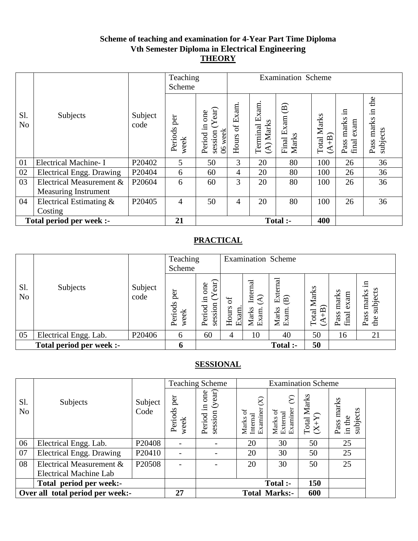#### **Scheme of teaching and examination for 4-Year Part Time Diploma Vth Semester Diploma in Electrical Engineering THEORY**

|                       |                             |                    | Teaching<br>Scheme     |                                                  | <b>Examination Scheme</b>  |                                      |                                                  |                           |                                   |                                        |
|-----------------------|-----------------------------|--------------------|------------------------|--------------------------------------------------|----------------------------|--------------------------------------|--------------------------------------------------|---------------------------|-----------------------------------|----------------------------------------|
| S1.<br>N <sub>o</sub> | Subjects                    | Subject<br>code    | per<br>Periods<br>week | (Year)<br>one<br>Period in<br>session<br>06 week | Exam.<br>$\sigma$<br>Hours | xam.<br>凹<br>$(A)$ Marks<br>Terminal | $\widehat{\mathbf{B}}$<br>Exam<br>Marks<br>Final | Marks<br>$(A+B)$<br>Total | .日<br>Pass marks<br>exam<br>final | the<br>Ξ.<br>marks<br>subjects<br>Pass |
| 01                    | <b>Electrical Machine-I</b> | P20402             | 5                      | 50                                               | 3                          | 20                                   | 80                                               | 100                       | 26                                | 36                                     |
| 02                    | Electrical Engg. Drawing    | P20404             | 6                      | 60                                               | 4                          | 20                                   | 80                                               | 100                       | 26                                | 36                                     |
| 03                    | Electrical Measurement &    | P20604             | 6                      | 60                                               | 3                          | 20                                   | 80                                               | 100                       | 26                                | 36                                     |
|                       | <b>Measuring Instrument</b> |                    |                        |                                                  |                            |                                      |                                                  |                           |                                   |                                        |
| 04                    | Electrical Estimating &     | P <sub>20405</sub> | $\overline{4}$         | 50                                               | 4                          | 20                                   | 80                                               | 100                       | 26                                | 36                                     |
|                       | Costing                     |                    |                        |                                                  |                            |                                      |                                                  |                           |                                   |                                        |
|                       | Total period per week :-    |                    | 21                     |                                                  |                            |                                      | Total :-                                         | 400                       |                                   |                                        |

# **PRACTICAL**

|                       |                          |                 | Teaching<br>Scheme     |                                             |                     |                                                       | <b>Examination Scheme</b>         |                                                                                                                           |                                |                                        |
|-----------------------|--------------------------|-----------------|------------------------|---------------------------------------------|---------------------|-------------------------------------------------------|-----------------------------------|---------------------------------------------------------------------------------------------------------------------------|--------------------------------|----------------------------------------|
| Sl.<br>N <sub>o</sub> | Subjects                 | Subject<br>code | per<br>Periods<br>week | ear)<br>one<br>≻<br>.크<br>session<br>Period | 5<br>Hours<br>Exam. | Internal<br>$\widehat{\mathcal{A}}$<br>Marks<br>Exam. | External<br>(B)<br>Marks<br>Exam. | <b>Total Marks</b><br>$\widehat{+}$ B)<br>$\mathfrak{S}% _{A}^{\ast}(\mathbb{R})\subset\mathfrak{S}_{A}\!\left( A\right)$ | marks<br>exam<br>final<br>Pass | .日<br>subjects<br>marks<br>Pass<br>the |
| 05                    | Electrical Engg. Lab.    | P20406          | 6                      | 60                                          | 4                   | 10                                                    | 40                                | 50                                                                                                                        | 16                             | 21                                     |
|                       | Total period per week :- |                 | 6                      |                                             |                     |                                                       | Total :-                          | 50                                                                                                                        |                                |                                        |

|                       |                                  |                 |                          | <b>Teaching Scheme</b>                   |                                                  |                                    | <b>Examination Scheme</b> |                                                   |  |
|-----------------------|----------------------------------|-----------------|--------------------------|------------------------------------------|--------------------------------------------------|------------------------------------|---------------------------|---------------------------------------------------|--|
| Sl.<br>N <sub>o</sub> | Subjects                         | Subject<br>Code | per<br>Periods<br>week   | (year)<br>one<br>묘.<br>session<br>Period | $\otimes$<br>Examiner<br>5ŕ<br>Internal<br>Marks | Examiner<br>ਠ<br>External<br>Marks | Total Marks<br>$(X+Y)$    | Pass marks<br>subjects<br>$\operatorname{in}$ the |  |
| 06                    | Electrical Engg. Lab.            | P20408          | $\overline{\phantom{a}}$ |                                          | 20                                               | 30                                 | 50                        | 25                                                |  |
| 07                    | <b>Electrical Engg. Drawing</b>  | P20410          | $\overline{\phantom{a}}$ |                                          | 20                                               | 30                                 | 50                        | 25                                                |  |
| 08                    | Electrical Measurement &         | P20508          | $\overline{\phantom{a}}$ |                                          | 20                                               | 30                                 | 50                        | 25                                                |  |
|                       | <b>Electrical Machine Lab</b>    |                 |                          |                                          |                                                  |                                    |                           |                                                   |  |
|                       | Total period per week:-          |                 |                          |                                          |                                                  | <b>Total</b> :-                    | 150                       |                                                   |  |
|                       | Over all total period per week:- |                 | 27                       |                                          |                                                  | <b>Total Marks:-</b>               | 600                       |                                                   |  |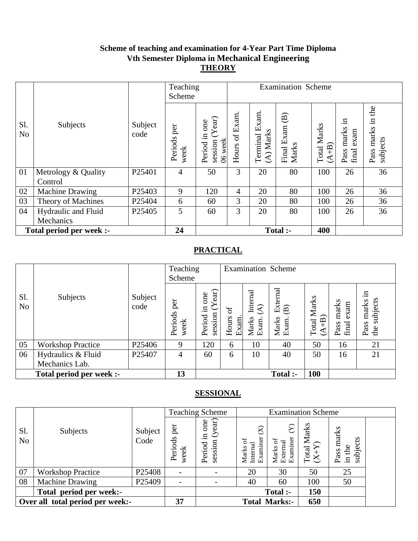#### **Scheme of teaching and examination for 4-Year Part Time Diploma Vth Semester Diploma in Mechanical Engineering THEORY**

|                       |                          |                    | Teaching<br>Scheme  |                                               | <b>Examination Scheme</b>  |                                    |                                                  |                         |                                   |                                           |
|-----------------------|--------------------------|--------------------|---------------------|-----------------------------------------------|----------------------------|------------------------------------|--------------------------------------------------|-------------------------|-----------------------------------|-------------------------------------------|
| Sl.<br>N <sub>o</sub> | Subjects                 | Subject<br>code    | Periods per<br>week | session (Year)<br>one<br>Period in<br>06 week | Exam.<br>$\sigma$<br>Hours | xam.<br>凹<br>(A) Marks<br>Terminal | $\widehat{\mathbf{B}}$<br>Exam<br>Marks<br>Final | Marks<br>$A+B$<br>Total | .⊟<br>Pass marks<br>exam<br>final | the<br>$\Xi$<br>marks<br>subjects<br>Pass |
| 01                    | Metrology & Quality      | P25401             | $\overline{4}$      | 50                                            | 3                          | 20                                 | 80                                               | 100                     | 26                                | 36                                        |
|                       | Control                  |                    |                     |                                               |                            |                                    |                                                  |                         |                                   |                                           |
| 02                    | <b>Machine Drawing</b>   | P <sub>25403</sub> | 9                   | 120                                           | 4                          | 20                                 | 80                                               | 100                     | 26                                | 36                                        |
| 03                    | Theory of Machines       | P25404             | 6                   | 60                                            | 3                          | 20                                 | 80                                               | 100                     | 26                                | 36                                        |
| 04                    | Hydraulic and Fluid      | P25405             | 5                   | 60                                            | 3                          | 20                                 | 80                                               | 100                     | 26                                | 36                                        |
|                       | Mechanics                |                    |                     |                                               |                            |                                    |                                                  |                         |                                   |                                           |
|                       | Total period per week :- |                    | 24                  |                                               |                            |                                    | Total :-                                         | 400                     |                                   |                                           |

# **PRACTICAL**

|                       |                          |                 | Teaching<br>Scheme     |                                                | <b>Examination Scheme</b> |                                                       |                                                      |                        |                                |                                        |
|-----------------------|--------------------------|-----------------|------------------------|------------------------------------------------|---------------------------|-------------------------------------------------------|------------------------------------------------------|------------------------|--------------------------------|----------------------------------------|
| Sl.<br>N <sub>o</sub> | Subjects                 | Subject<br>code | per<br>Periods<br>week | ear)<br>one<br>≻<br>$\Xi$<br>session<br>Period | ð<br>Hours<br>Exam.       | Internal<br>$\widehat{\mathcal{A}}$<br>Marks<br>Exam. | External<br>$\widehat{\mathbf{B}}$<br>Marks<br>Exam. | Total Marks<br>$(A+B)$ | marks<br>exam<br>final<br>Pass | .⊟<br>subjects<br>marks<br>Pass<br>the |
| 05                    | <b>Workshop Practice</b> | P25406          | 9                      | 120                                            | 6                         | 10                                                    | 40                                                   | 50                     | 16                             | 21                                     |
| 06                    | Hydraulics & Fluid       | P25407          | 4                      | 60                                             | 6                         | 10                                                    | 40                                                   | 50                     | 16                             | 21                                     |
|                       | Mechanics Lab.           |                 |                        |                                                |                           |                                                       |                                                      |                        |                                |                                        |
|                       | Total period per week :- |                 | 13                     |                                                |                           |                                                       | Total :-                                             | 100                    |                                |                                        |

|                       |                                  |                 |                                  | <b>Teaching Scheme</b>                        |                                                          | <b>Examination Scheme</b>        |                           |                                     |  |
|-----------------------|----------------------------------|-----------------|----------------------------------|-----------------------------------------------|----------------------------------------------------------|----------------------------------|---------------------------|-------------------------------------|--|
| S1.<br>N <sub>o</sub> | Subjects                         | Subject<br>Code | per<br><b>ds</b><br>week<br>Peri | (year)<br>one<br>$\Xi$ .<br>session<br>Period | $\widehat{\Join}$<br>ier<br>Marks o<br>Internal<br>Exami | Examiner<br>ಸ<br>Marks<br>Extern | Marks<br>$(X+Y)$<br>Total | marks<br>subjects<br>in the<br>Pass |  |
| 07                    | <b>Workshop Practice</b>         | P25408          |                                  |                                               | 20                                                       | 30                               | 50                        | 25                                  |  |
| 08                    | <b>Machine Drawing</b>           | P25409          | $\overline{\phantom{a}}$         |                                               | 40                                                       | 60                               | 100                       | 50                                  |  |
|                       | Total period per week:-          |                 |                                  |                                               |                                                          | Total :-                         | 150                       |                                     |  |
|                       | Over all total period per week:- |                 | 37                               |                                               |                                                          | <b>Total Marks:-</b>             | 650                       |                                     |  |